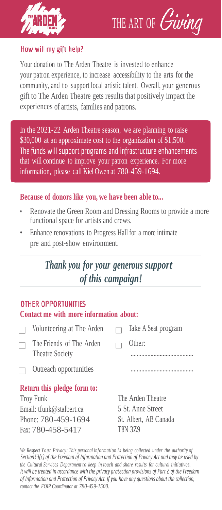



## How will my gift help?

Your donation to The Arden Theatre is invested to enhance your patron experience, to increase accessibility to the arts for the community, and to support local artistic talent. Overall, your generous gift to The Arden Theatre gets results that positively impact the experiences of artists, families and patrons.

In the 2021-22 Arden Theatre season, we are planning to raise \$30,000 at an approximate cost to the organization of \$1,500. The funds will support programs and infrastructure enhancements that will continue to improve your patron experience. For more information, please call Kiel Owen at 780-459-1694.

### **Because of donors like you, we have been able to...**

- Renovate the Green Room and Dressing Rooms to provide a more functional space for artists and crews.
- Enhance renovations to Progress Hall for a more intimate pre and post-show environment.

# *Thank you for your generous support of this campaign!*

#### **OTHER OPPORTUNITIES**

#### **Contact me with more information about:**

| Volunteering at The Arden                   | Take A Seat program |
|---------------------------------------------|---------------------|
| The Friends of The Arden<br>Theatre Society | Other:              |
| Outreach opportunities                      |                     |

## **Return this pledge form to:**

Troy Funk Email: tfun[k@stalbert.ca](mailto:@stalbert.ca) Phone: 780-459-1694 Fax: 780-458-5417

The Arden Theatre 5 St. Anne Street St. Albert, AB Canada T8N 3Z9

*We Respect Your Privacy: This personal information is being collected under the authority of*<br>*Section33(c)* of the Freedom of Information and Protection of Privacy Act and may be used by *the* Cultural Services Department to keep in touch and share results for cultural initiatives.<br>It will be treated in accordance with the privacy protection provisions of Part 2 of the Freedom of Information and Protection of Privacy Act. If you have any questions about the collection, *contact the FOIP Coordinator at 780-459-1500.*